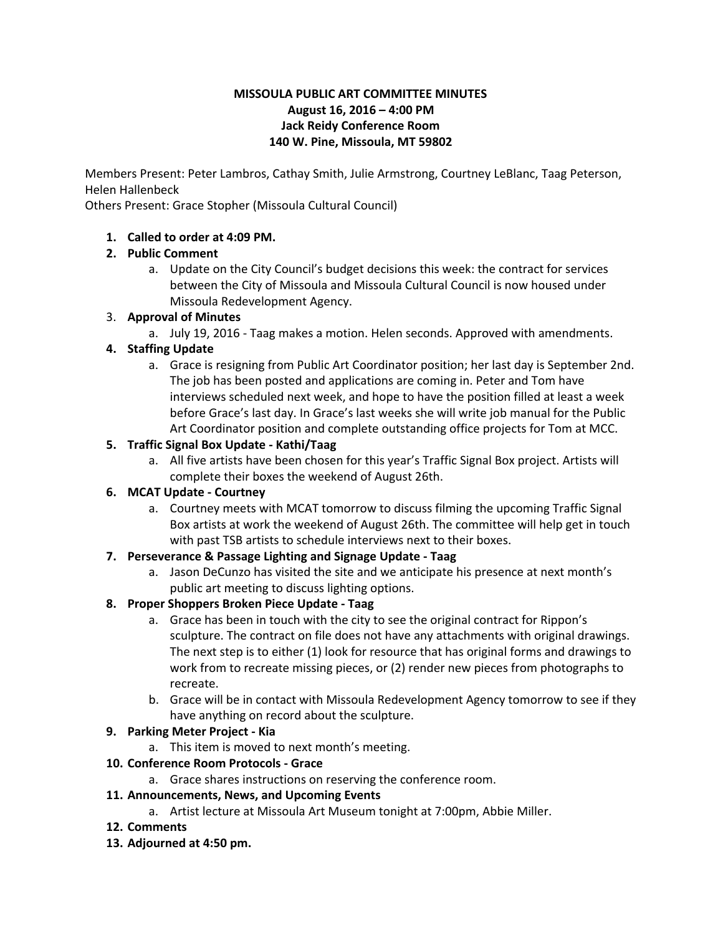### **MISSOULA PUBLIC ART COMMITTEE MINUTES August 16, 2016 – 4:00 PM Jack Reidy Conference Room 140 W. Pine, Missoula, MT 59802**

Members Present: Peter Lambros, Cathay Smith, Julie Armstrong, Courtney LeBlanc, Taag Peterson, Helen Hallenbeck

Others Present: Grace Stopher (Missoula Cultural Council)

### **1. Called to order at 4:09 PM.**

## **2. Public Comment**

a. Update on the City Council's budget decisions this week: the contract for services between the City of Missoula and Missoula Cultural Council is now housed under Missoula Redevelopment Agency.

## 3. **Approval of Minutes**

a. July 19, 2016 Taag makes a motion. Helen seconds. Approved with amendments.

## **4. Staffing Update**

a. Grace is resigning from Public Art Coordinator position; her last day is September 2nd. The job has been posted and applications are coming in. Peter and Tom have interviews scheduled next week, and hope to have the position filled at least a week before Grace's last day. In Grace's last weeks she will write job manual for the Public Art Coordinator position and complete outstanding office projects for Tom at MCC.

## **5. Traffic Signal Box Update Kathi/Taag**

a. All five artists have been chosen for this year's Traffic Signal Box project. Artists will complete their boxes the weekend of August 26th.

### **6. MCAT Update Courtney**

a. Courtney meets with MCAT tomorrow to discuss filming the upcoming Traffic Signal Box artists at work the weekend of August 26th. The committee will help get in touch with past TSB artists to schedule interviews next to their boxes.

### **7. Perseverance & Passage Lighting and Signage Update Taag**

a. Jason DeCunzo has visited the site and we anticipate his presence at next month's public art meeting to discuss lighting options.

# **8. Proper Shoppers Broken Piece Update Taag**

- a. Grace has been in touch with the city to see the original contract for Rippon's sculpture. The contract on file does not have any attachments with original drawings. The next step is to either (1) look for resource that has original forms and drawings to work from to recreate missing pieces, or (2) render new pieces from photographs to recreate.
- b. Grace will be in contact with Missoula Redevelopment Agency tomorrow to see if they have anything on record about the sculpture.

### **9. Parking Meter Project - Kia**

a. This item is moved to next month's meeting.

### **10. Conference Room Protocols - Grace**

a. Grace shares instructions on reserving the conference room.

# **11. Announcements, News, and Upcoming Events**

- a. Artist lecture at Missoula Art Museum tonight at 7:00pm, Abbie Miller.
- **12. Comments**
- **13. Adjourned at 4:50 pm.**